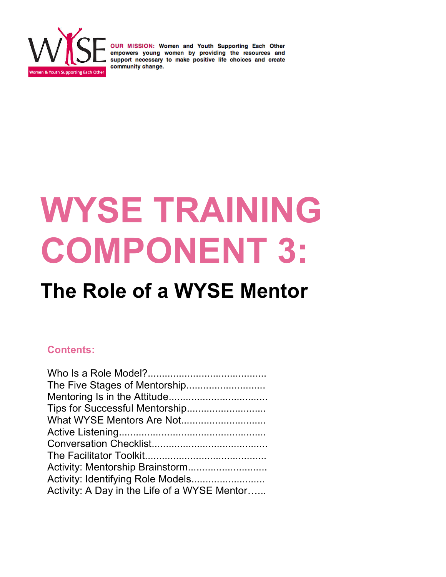

# **WYSE TRAINING COMPONENT 3:**

## **The Role of a WYSE Mentor**

#### **Contents:**

| Tips for Successful Mentorship               |  |
|----------------------------------------------|--|
|                                              |  |
|                                              |  |
|                                              |  |
|                                              |  |
| Activity: Mentorship Brainstorm              |  |
|                                              |  |
| Activity: A Day in the Life of a WYSE Mentor |  |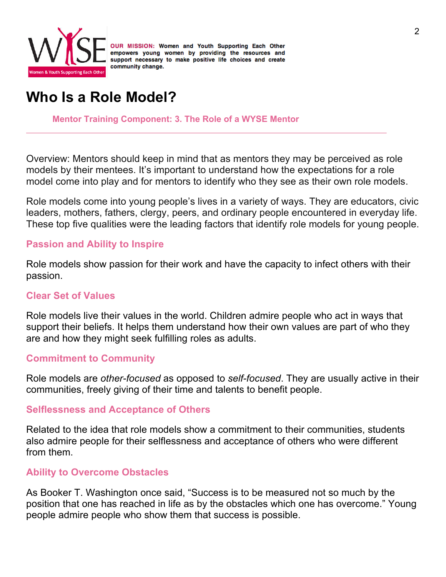

### **Who Is a Role Model?**

**Mentor Training Component: 3. The Role of a WYSE Mentor**

Overview: Mentors should keep in mind that as mentors they may be perceived as role models by their mentees. It's important to understand how the expectations for a role model come into play and for mentors to identify who they see as their own role models.

Role models come into young people's lives in a variety of ways. They are educators, civic leaders, mothers, fathers, clergy, peers, and ordinary people encountered in everyday life. These top five qualities were the leading factors that identify role models for young people.

#### **Passion and Ability to Inspire**

Role models show passion for their work and have the capacity to infect others with their passion.

#### **Clear Set of Values**

Role models live their values in the world. Children admire people who act in ways that support their beliefs. It helps them understand how their own values are part of who they are and how they might seek fulfilling roles as adults.

#### **Commitment to Community**

Role models are *other-focused* as opposed to *self-focused*. They are usually active in their communities, freely giving of their time and talents to benefit people.

#### **Selflessness and Acceptance of Others**

Related to the idea that role models show a commitment to their communities, students also admire people for their selflessness and acceptance of others who were different from them.

#### **Ability to Overcome Obstacles**

As Booker T. Washington once said, "Success is to be measured not so much by the position that one has reached in life as by the obstacles which one has overcome." Young people admire people who show them that success is possible.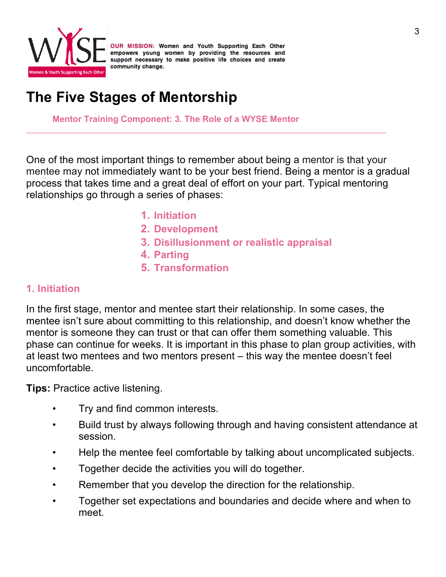

### **The Five Stages of Mentorship**

**Mentor Training Component: 3. The Role of a WYSE Mentor**

One of the most important things to remember about being a mentor is that your mentee may not immediately want to be your best friend. Being a mentor is a gradual process that takes time and a great deal of effort on your part. Typical mentoring relationships go through a series of phases:

- **1. Initiation**
- **2. Development**
- **3. Disillusionment or realistic appraisal**
- **4. Parting**
- **5. Transformation**

#### **1. Initiation**

In the first stage, mentor and mentee start their relationship. In some cases, the mentee isn't sure about committing to this relationship, and doesn't know whether the mentor is someone they can trust or that can offer them something valuable. This phase can continue for weeks. It is important in this phase to plan group activities, with at least two mentees and two mentors present – this way the mentee doesn't feel uncomfortable.

**Tips:** Practice active listening.

- Try and find common interests.
- Build trust by always following through and having consistent attendance at session.
- Help the mentee feel comfortable by talking about uncomplicated subjects.
- Together decide the activities you will do together.
- Remember that you develop the direction for the relationship.
- Together set expectations and boundaries and decide where and when to meet.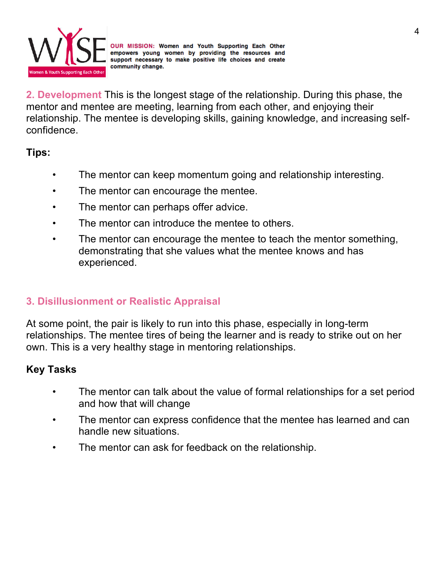

**2. Development** This is the longest stage of the relationship. During this phase, the mentor and mentee are meeting, learning from each other, and enjoying their relationship. The mentee is developing skills, gaining knowledge, and increasing selfconfidence.

**Tips:** 

- The mentor can keep momentum going and relationship interesting.
- The mentor can encourage the mentee.
- The mentor can perhaps offer advice.
- The mentor can introduce the mentee to others.
- The mentor can encourage the mentee to teach the mentor something, demonstrating that she values what the mentee knows and has experienced.

#### **3. Disillusionment or Realistic Appraisal**

At some point, the pair is likely to run into this phase, especially in long-term relationships. The mentee tires of being the learner and is ready to strike out on her own. This is a very healthy stage in mentoring relationships.

#### **Key Tasks**

- The mentor can talk about the value of formal relationships for a set period and how that will change
- The mentor can express confidence that the mentee has learned and can handle new situations.
- The mentor can ask for feedback on the relationship.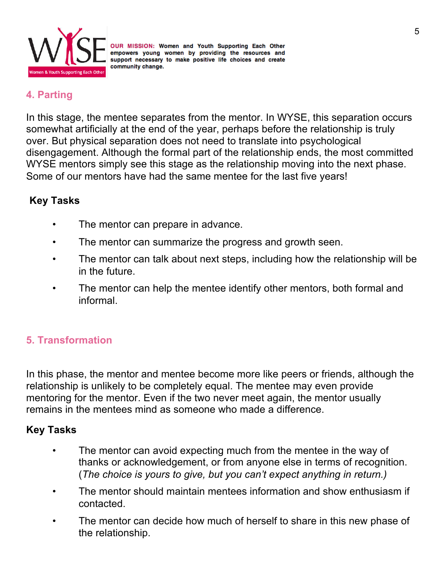

#### **4. Parting**

In this stage, the mentee separates from the mentor. In WYSE, this separation occurs somewhat artificially at the end of the year, perhaps before the relationship is truly over. But physical separation does not need to translate into psychological disengagement. Although the formal part of the relationship ends, the most committed WYSE mentors simply see this stage as the relationship moving into the next phase. Some of our mentors have had the same mentee for the last five years!

#### **Key Tasks**

- The mentor can prepare in advance.
- The mentor can summarize the progress and growth seen.
- The mentor can talk about next steps, including how the relationship will be in the future.
- The mentor can help the mentee identify other mentors, both formal and informal.

#### **5. Transformation**

In this phase, the mentor and mentee become more like peers or friends, although the relationship is unlikely to be completely equal. The mentee may even provide mentoring for the mentor. Even if the two never meet again, the mentor usually remains in the mentees mind as someone who made a difference.

#### **Key Tasks**

- The mentor can avoid expecting much from the mentee in the way of thanks or acknowledgement, or from anyone else in terms of recognition. (*The choice is yours to give, but you can't expect anything in return.)*
- The mentor should maintain mentees information and show enthusiasm if contacted.
- The mentor can decide how much of herself to share in this new phase of the relationship.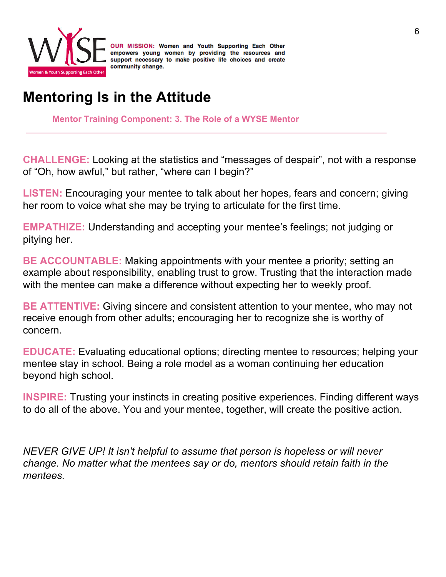

### **Mentoring Is in the Attitude**

**Mentor Training Component: 3. The Role of a WYSE Mentor**

**CHALLENGE:** Looking at the statistics and "messages of despair", not with a response of "Oh, how awful," but rather, "where can I begin?"

**LISTEN:** Encouraging your mentee to talk about her hopes, fears and concern; giving her room to voice what she may be trying to articulate for the first time.

**EMPATHIZE:** Understanding and accepting your mentee's feelings; not judging or pitying her.

**BE ACCOUNTABLE:** Making appointments with your mentee a priority; setting an example about responsibility, enabling trust to grow. Trusting that the interaction made with the mentee can make a difference without expecting her to weekly proof.

**BE ATTENTIVE:** Giving sincere and consistent attention to your mentee, who may not receive enough from other adults; encouraging her to recognize she is worthy of concern.

**EDUCATE:** Evaluating educational options; directing mentee to resources; helping your mentee stay in school. Being a role model as a woman continuing her education beyond high school.

**INSPIRE:** Trusting your instincts in creating positive experiences. Finding different ways to do all of the above. You and your mentee, together, will create the positive action.

*NEVER GIVE UP! It isn't helpful to assume that person is hopeless or will never change. No matter what the mentees say or do, mentors should retain faith in the mentees.*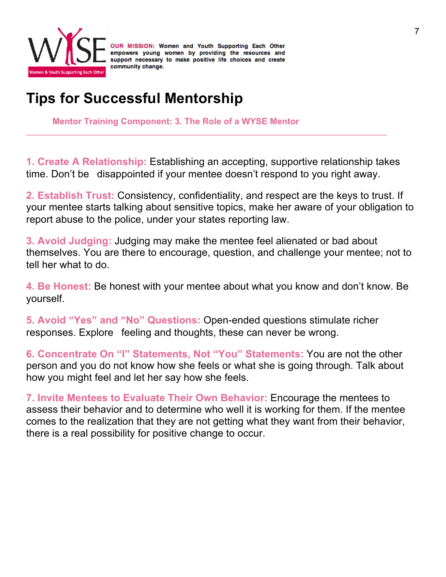

### **Tips for Successful Mentorship**

**Mentor Training Component: 3. The Role of a WYSE Mentor**

**1. Create A Relationship:** Establishing an accepting, supportive relationship takes time. Don't be disappointed if your mentee doesn't respond to you right away.

**2. Establish Trust:** Consistency, confidentiality, and respect are the keys to trust. If your mentee starts talking about sensitive topics, make her aware of your obligation to report abuse to the police, under your states reporting law.

**3. Avoid Judging:** Judging may make the mentee feel alienated or bad about themselves. You are there to encourage, question, and challenge your mentee; not to tell her what to do.

**4. Be Honest:** Be honest with your mentee about what you know and don't know. Be yourself.

**5. Avoid "Yes" and "No" Questions:** Open-ended questions stimulate richer responses. Explore feeling and thoughts, these can never be wrong.

**6. Concentrate On "I" Statements, Not "You" Statements:** You are not the other person and you do not know how she feels or what she is going through. Talk about how you might feel and let her say how she feels.

**7. Invite Mentees to Evaluate Their Own Behavior:** Encourage the mentees to assess their behavior and to determine who well it is working for them. If the mentee comes to the realization that they are not getting what they want from their behavior, there is a real possibility for positive change to occur.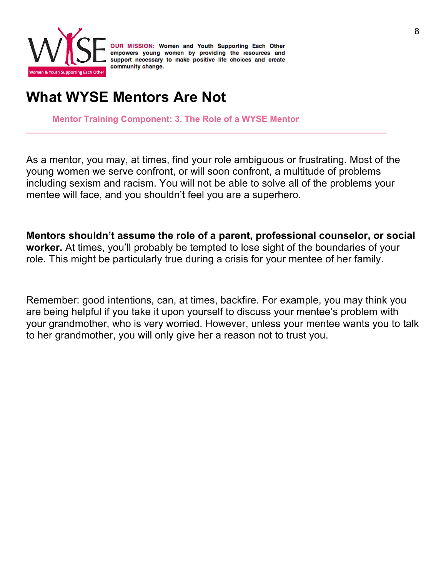

### **What WYSE Mentors Are Not**

**Mentor Training Component: 3. The Role of a WYSE Mentor**

As a mentor, you may, at times, find your role ambiguous or frustrating. Most of the young women we serve confront, or will soon confront, a multitude of problems including sexism and racism. You will not be able to solve all of the problems your mentee will face, and you shouldn't feel you are a superhero.

**Mentors shouldn't assume the role of a parent, professional counselor, or social worker.** At times, you'll probably be tempted to lose sight of the boundaries of your role. This might be particularly true during a crisis for your mentee of her family.

Remember: good intentions, can, at times, backfire. For example, you may think you are being helpful if you take it upon yourself to discuss your mentee's problem with your grandmother, who is very worried. However, unless your mentee wants you to talk to her grandmother, you will only give her a reason not to trust you.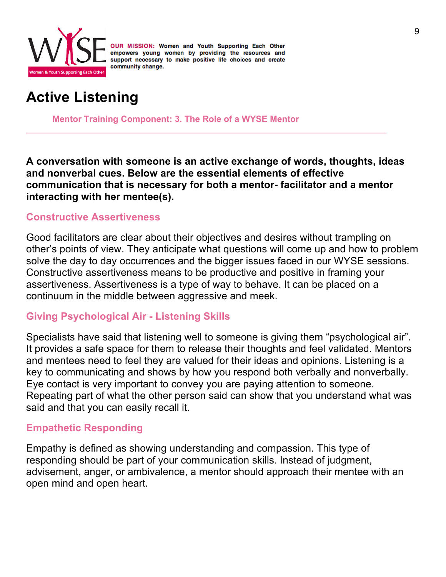

### **Active Listening**

**Mentor Training Component: 3. The Role of a WYSE Mentor**

**A conversation with someone is an active exchange of words, thoughts, ideas and nonverbal cues. Below are the essential elements of effective communication that is necessary for both a mentor- facilitator and a mentor interacting with her mentee(s).** 

#### **Constructive Assertiveness**

Good facilitators are clear about their objectives and desires without trampling on other's points of view. They anticipate what questions will come up and how to problem solve the day to day occurrences and the bigger issues faced in our WYSE sessions. Constructive assertiveness means to be productive and positive in framing your assertiveness. Assertiveness is a type of way to behave. It can be placed on a continuum in the middle between aggressive and meek.

#### **Giving Psychological Air - Listening Skills**

Specialists have said that listening well to someone is giving them "psychological air". It provides a safe space for them to release their thoughts and feel validated. Mentors and mentees need to feel they are valued for their ideas and opinions. Listening is a key to communicating and shows by how you respond both verbally and nonverbally. Eye contact is very important to convey you are paying attention to someone. Repeating part of what the other person said can show that you understand what was said and that you can easily recall it.

#### **Empathetic Responding**

Empathy is defined as showing understanding and compassion. This type of responding should be part of your communication skills. Instead of judgment, advisement, anger, or ambivalence, a mentor should approach their mentee with an open mind and open heart.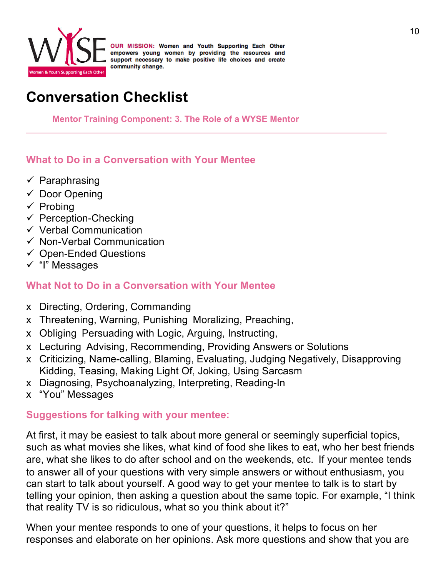

### **Conversation Checklist**

**Mentor Training Component: 3. The Role of a WYSE Mentor**

#### **What to Do in a Conversation with Your Mentee**

- $\checkmark$  Paraphrasing
- $\checkmark$  Door Opening
- $\checkmark$  Probing
- $\checkmark$  Perception-Checking
- $\checkmark$  Verbal Communication
- $\checkmark$  Non-Verbal Communication
- $\checkmark$  Open-Ended Questions
- $\checkmark$  "I" Messages

#### **What Not to Do in a Conversation with Your Mentee**

- x Directing, Ordering, Commanding
- x Threatening, Warning, Punishing Moralizing, Preaching,
- x Obliging Persuading with Logic, Arguing, Instructing,
- x Lecturing Advising, Recommending, Providing Answers or Solutions
- x Criticizing, Name-calling, Blaming, Evaluating, Judging Negatively, Disapproving Kidding, Teasing, Making Light Of, Joking, Using Sarcasm
- x Diagnosing, Psychoanalyzing, Interpreting, Reading-In
- x "You" Messages

#### **Suggestions for talking with your mentee:**

At first, it may be easiest to talk about more general or seemingly superficial topics, such as what movies she likes, what kind of food she likes to eat, who her best friends are, what she likes to do after school and on the weekends, etc. If your mentee tends to answer all of your questions with very simple answers or without enthusiasm, you can start to talk about yourself. A good way to get your mentee to talk is to start by telling your opinion, then asking a question about the same topic. For example, "I think that reality TV is so ridiculous, what so you think about it?"

When your mentee responds to one of your questions, it helps to focus on her responses and elaborate on her opinions. Ask more questions and show that you are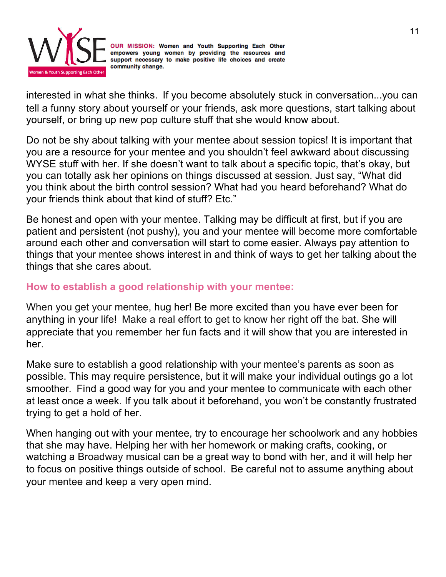

interested in what she thinks. If you become absolutely stuck in conversation...you can tell a funny story about yourself or your friends, ask more questions, start talking about yourself, or bring up new pop culture stuff that she would know about.

Do not be shy about talking with your mentee about session topics! It is important that you are a resource for your mentee and you shouldn't feel awkward about discussing WYSE stuff with her. If she doesn't want to talk about a specific topic, that's okay, but you can totally ask her opinions on things discussed at session. Just say, "What did you think about the birth control session? What had you heard beforehand? What do your friends think about that kind of stuff? Etc."

Be honest and open with your mentee. Talking may be difficult at first, but if you are patient and persistent (not pushy), you and your mentee will become more comfortable around each other and conversation will start to come easier. Always pay attention to things that your mentee shows interest in and think of ways to get her talking about the things that she cares about.

#### **How to establish a good relationship with your mentee:**

When you get your mentee, hug her! Be more excited than you have ever been for anything in your life! Make a real effort to get to know her right off the bat. She will appreciate that you remember her fun facts and it will show that you are interested in her.

Make sure to establish a good relationship with your mentee's parents as soon as possible. This may require persistence, but it will make your individual outings go a lot smoother. Find a good way for you and your mentee to communicate with each other at least once a week. If you talk about it beforehand, you won't be constantly frustrated trying to get a hold of her.

When hanging out with your mentee, try to encourage her schoolwork and any hobbies that she may have. Helping her with her homework or making crafts, cooking, or watching a Broadway musical can be a great way to bond with her, and it will help her to focus on positive things outside of school. Be careful not to assume anything about your mentee and keep a very open mind.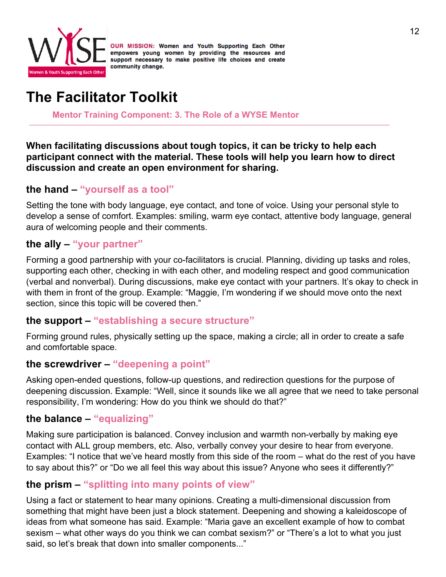

### **The Facilitator Toolkit**

**Mentor Training Component: 3. The Role of a WYSE Mentor**

**When facilitating discussions about tough topics, it can be tricky to help each participant connect with the material. These tools will help you learn how to direct discussion and create an open environment for sharing.** 

#### **the hand – "yourself as a tool"**

Setting the tone with body language, eye contact, and tone of voice. Using your personal style to develop a sense of comfort. Examples: smiling, warm eye contact, attentive body language, general aura of welcoming people and their comments.

#### **the ally – "your partner"**

Forming a good partnership with your co-facilitators is crucial. Planning, dividing up tasks and roles, supporting each other, checking in with each other, and modeling respect and good communication (verbal and nonverbal). During discussions, make eye contact with your partners. It's okay to check in with them in front of the group. Example: "Maggie, I'm wondering if we should move onto the next section, since this topic will be covered then."

#### **the support – "establishing a secure structure"**

Forming ground rules, physically setting up the space, making a circle; all in order to create a safe and comfortable space.

#### **the screwdriver – "deepening a point"**

Asking open-ended questions, follow-up questions, and redirection questions for the purpose of deepening discussion. Example: "Well, since it sounds like we all agree that we need to take personal responsibility, I'm wondering: How do you think we should do that?"

#### **the balance – "equalizing"**

Making sure participation is balanced. Convey inclusion and warmth non-verbally by making eye contact with ALL group members, etc. Also, verbally convey your desire to hear from everyone. Examples: "I notice that we've heard mostly from this side of the room – what do the rest of you have to say about this?" or "Do we all feel this way about this issue? Anyone who sees it differently?"

#### **the prism – "splitting into many points of view"**

Using a fact or statement to hear many opinions. Creating a multi-dimensional discussion from something that might have been just a block statement. Deepening and showing a kaleidoscope of ideas from what someone has said. Example: "Maria gave an excellent example of how to combat sexism – what other ways do you think we can combat sexism?" or "There's a lot to what you just said, so let's break that down into smaller components..."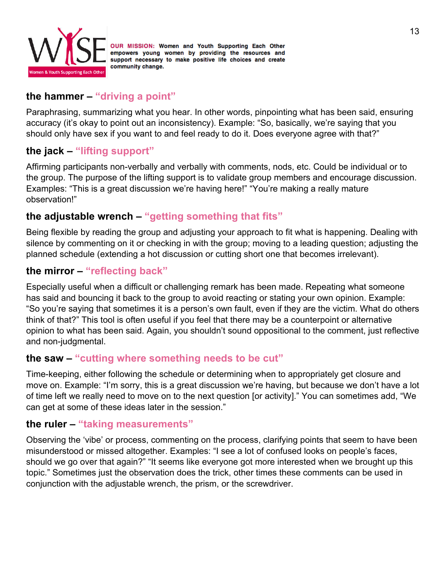

#### **the hammer – "driving a point"**

Paraphrasing, summarizing what you hear. In other words, pinpointing what has been said, ensuring accuracy (it's okay to point out an inconsistency). Example: "So, basically, we're saying that you should only have sex if you want to and feel ready to do it. Does everyone agree with that?"

#### **the jack – "lifting support"**

Affirming participants non-verbally and verbally with comments, nods, etc. Could be individual or to the group. The purpose of the lifting support is to validate group members and encourage discussion. Examples: "This is a great discussion we're having here!" "You're making a really mature observation!"

#### **the adjustable wrench – "getting something that fits"**

Being flexible by reading the group and adjusting your approach to fit what is happening. Dealing with silence by commenting on it or checking in with the group; moving to a leading question; adjusting the planned schedule (extending a hot discussion or cutting short one that becomes irrelevant).

#### **the mirror – "reflecting back"**

Especially useful when a difficult or challenging remark has been made. Repeating what someone has said and bouncing it back to the group to avoid reacting or stating your own opinion. Example: "So you're saying that sometimes it is a person's own fault, even if they are the victim. What do others think of that?" This tool is often useful if you feel that there may be a counterpoint or alternative opinion to what has been said. Again, you shouldn't sound oppositional to the comment, just reflective and non-judgmental.

#### **the saw – "cutting where something needs to be cut"**

Time-keeping, either following the schedule or determining when to appropriately get closure and move on. Example: "I'm sorry, this is a great discussion we're having, but because we don't have a lot of time left we really need to move on to the next question [or activity]." You can sometimes add, "We can get at some of these ideas later in the session."

#### **the ruler – "taking measurements"**

Observing the 'vibe' or process, commenting on the process, clarifying points that seem to have been misunderstood or missed altogether. Examples: "I see a lot of confused looks on people's faces, should we go over that again?" "It seems like everyone got more interested when we brought up this topic." Sometimes just the observation does the trick, other times these comments can be used in conjunction with the adjustable wrench, the prism, or the screwdriver.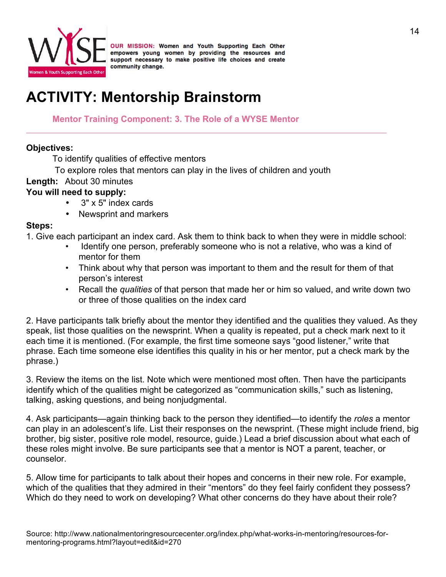

### **ACTIVITY: Mentorship Brainstorm**

#### **Mentor Training Component: 3. The Role of a WYSE Mentor**

#### **Objectives:**

To identify qualities of effective mentors

To explore roles that mentors can play in the lives of children and youth

#### **Length:** About 30 minutes

#### **You will need to supply:**

- 3" x 5" index cards
- Newsprint and markers

#### **Steps:**

1. Give each participant an index card. Ask them to think back to when they were in middle school:

- Identify one person, preferably someone who is not a relative, who was a kind of mentor for them
- Think about why that person was important to them and the result for them of that person's interest
- Recall the *qualities* of that person that made her or him so valued, and write down two or three of those qualities on the index card

2. Have participants talk briefly about the mentor they identified and the qualities they valued. As they speak, list those qualities on the newsprint. When a quality is repeated, put a check mark next to it each time it is mentioned. (For example, the first time someone says "good listener," write that phrase. Each time someone else identifies this quality in his or her mentor, put a check mark by the phrase.)

3. Review the items on the list. Note which were mentioned most often. Then have the participants identify which of the qualities might be categorized as "communication skills," such as listening, talking, asking questions, and being nonjudgmental.

4. Ask participants—again thinking back to the person they identified—to identify the *roles* a mentor can play in an adolescent's life. List their responses on the newsprint. (These might include friend, big brother, big sister, positive role model, resource, guide.) Lead a brief discussion about what each of these roles might involve. Be sure participants see that a mentor is NOT a parent, teacher, or counselor.

5. Allow time for participants to talk about their hopes and concerns in their new role. For example, which of the qualities that they admired in their "mentors" do they feel fairly confident they possess? Which do they need to work on developing? What other concerns do they have about their role?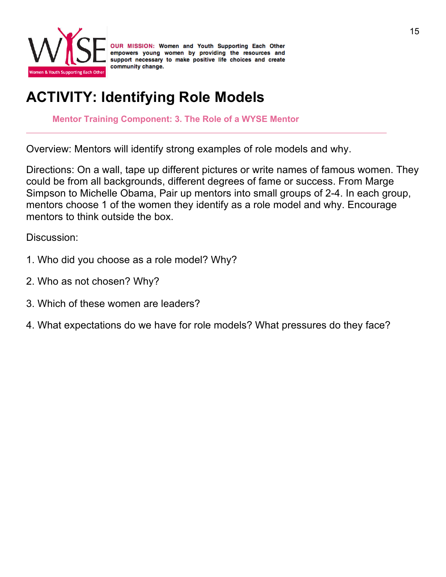

### **ACTIVITY: Identifying Role Models**

**Mentor Training Component: 3. The Role of a WYSE Mentor**

Overview: Mentors will identify strong examples of role models and why.

Directions: On a wall, tape up different pictures or write names of famous women. They could be from all backgrounds, different degrees of fame or success. From Marge Simpson to Michelle Obama, Pair up mentors into small groups of 2-4. In each group, mentors choose 1 of the women they identify as a role model and why. Encourage mentors to think outside the box.

Discussion:

- 1. Who did you choose as a role model? Why?
- 2. Who as not chosen? Why?
- 3. Which of these women are leaders?
- 4. What expectations do we have for role models? What pressures do they face?